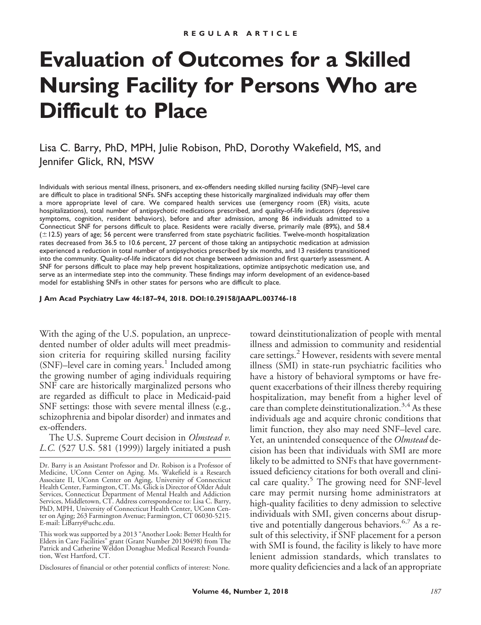# **Evaluation of Outcomes for a Skilled Nursing Facility for Persons Who are Difficult to Place**

Lisa C. Barry, PhD, MPH, Julie Robison, PhD, Dorothy Wakefield, MS, and Jennifer Glick, RN, MSW

Individuals with serious mental illness, prisoners, and ex-offenders needing skilled nursing facility (SNF)–level care are difficult to place in traditional SNFs. SNFs accepting these historically marginalized individuals may offer them a more appropriate level of care. We compared health services use (emergency room (ER) visits, acute hospitalizations), total number of antipsychotic medications prescribed, and quality-of-life indicators (depressive symptoms, cognition, resident behaviors), before and after admission, among 86 individuals admitted to a Connecticut SNF for persons difficult to place. Residents were racially diverse, primarily male (89%), and 58.4 ( $\pm$ 12.5) years of age; 56 percent were transferred from state psychiatric facilities. Twelve-month hospitalization rates decreased from 36.5 to 10.6 percent, 27 percent of those taking an antipsychotic medication at admission experienced a reduction in total number of antipsychotics prescribed by six months, and 13 residents transitioned into the community. Quality-of-life indicators did not change between admission and first quarterly assessment. A SNF for persons difficult to place may help prevent hospitalizations, optimize antipsychotic medication use, and serve as an intermediate step into the community. These findings may inform development of an evidence-based model for establishing SNFs in other states for persons who are difficult to place.

**J Am Acad Psychiatry Law 46:187–94, 2018. DOI:10.29158/JAAPL.003746-18**

With the aging of the U.S. population, an unprecedented number of older adults will meet preadmission criteria for requiring skilled nursing facility  $(SNF)$ –level care in coming years.<sup>1</sup> Included among the growing number of aging individuals requiring SNF care are historically marginalized persons who are regarded as difficult to place in Medicaid-paid SNF settings: those with severe mental illness (e.g., schizophrenia and bipolar disorder) and inmates and ex-offenders.

The U.S. Supreme Court decision in *Olmstead v. L.C.* (527 U.S. 581 (1999)) largely initiated a push

Disclosures of financial or other potential conflicts of interest: None.

toward deinstitutionalization of people with mental illness and admission to community and residential care settings. $2$  However, residents with severe mental illness (SMI) in state-run psychiatric facilities who have a history of behavioral symptoms or have frequent exacerbations of their illness thereby requiring hospitalization, may benefit from a higher level of care than complete deinstitutionalization.<sup>3,4</sup> As these individuals age and acquire chronic conditions that limit function, they also may need SNF–level care. Yet, an unintended consequence of the *Olmstead* decision has been that individuals with SMI are more likely to be admitted to SNFs that have governmentissued deficiency citations for both overall and clinical care quality.<sup>5</sup> The growing need for SNF-level care may permit nursing home administrators at high-quality facilities to deny admission to selective individuals with SMI, given concerns about disruptive and potentially dangerous behaviors.<sup>6,7</sup> As a result of this selectivity, if SNF placement for a person with SMI is found, the facility is likely to have more lenient admission standards, which translates to more quality deficiencies and a lack of an appropriate

Dr. Barry is an Assistant Professor and Dr. Robison is a Professor of Medicine, UConn Center on Aging. Ms. Wakefield is a Research Associate II, UConn Center on Aging, University of Connecticut Health Center, Farmington, CT. Ms. Glick is Director of Older Adult Services, Connecticut Department of Mental Health and Addiction Services, Middletown, CT. Address correspondence to: Lisa C. Barry, PhD, MPH, University of Connecticut Health Center, UConn Center on Aging; 263 Farmington Avenue; Farmington, CT 06030-5215. E-mail: LiBarry@uchc.edu.

This work was supported by a 2013 "Another Look: Better Health for Elders in Care Facilities" grant (Grant Number 20130498) from The Patrick and Catherine Weldon Donaghue Medical Research Foundation, West Hartford, CT.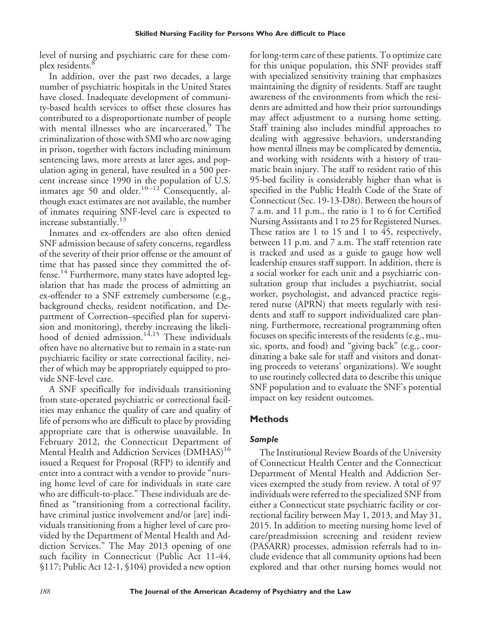level of nursing and psychiatric care for these complex residents.<sup>8</sup>

In addition, over the past two decades, a large number of psychiatric hospitals in the United States have closed. Inadequate development of community-based health services to offset these closures has contributed to a disproportionate number of people with mental illnesses who are incarcerated.<sup>9</sup> The criminalization of those with SMI who are now aging in prison, together with factors including minimum sentencing laws, more arrests at later ages, and population aging in general, have resulted in a 500 percent increase since 1990 in the population of U.S. inmates age 50 and older.<sup>10-12</sup> Consequently, although exact estimates are not available, the number of inmates requiring SNF-level care is expected to increase substantially.<sup>13</sup>

Inmates and ex-offenders are also often denied SNF admission because of safety concerns, regardless of the severity of their prior offense or the amount of time that has passed since they committed the offense.<sup>14</sup> Furthermore, many states have adopted legislation that has made the process of admitting an ex-offender to a SNF extremely cumbersome (e.g., background checks, resident notification, and Department of Correction–specified plan for supervision and monitoring), thereby increasing the likelihood of denied admission.<sup>14,15</sup> These individuals often have no alternative but to remain in a state-run psychiatric facility or state correctional facility, neither of which may be appropriately equipped to provide SNF-level care.

A SNF specifically for individuals transitioning from state-operated psychiatric or correctional facilities may enhance the quality of care and quality of life of persons who are difficult to place by providing appropriate care that is otherwise unavailable. In February 2012, the Connecticut Department of Mental Health and Addiction Services (DMHAS)<sup>16</sup> issued a Request for Proposal (RFP) to identify and enter into a contract with a vendor to provide "nursing home level of care for individuals in state care who are difficult-to-place." These individuals are defined as "transitioning from a correctional facility, have criminal justice involvement and/or [are] individuals transitioning from a higher level of care provided by the Department of Mental Health and Addiction Services." The May 2013 opening of one such facility in Connecticut (Public Act 11-44, §117; Public Act 12-1, §104) provided a new option

for long-term care of these patients. To optimize care for this unique population, this SNF provides staff with specialized sensitivity training that emphasizes maintaining the dignity of residents. Staff are taught awareness of the environments from which the residents are admitted and how their prior surroundings may affect adjustment to a nursing home setting. Staff training also includes mindful approaches to dealing with aggressive behaviors, understanding how mental illness may be complicated by dementia, and working with residents with a history of traumatic brain injury. The staff to resident ratio of this 95-bed facility is considerably higher than what is specified in the Public Health Code of the State of Connecticut (Sec. 19-13-D8t). Between the hours of 7 a.m. and 11 p.m., the ratio is 1 to 6 for Certified Nursing Assistants and 1 to 25 for Registered Nurses. These ratios are 1 to 15 and 1 to 45, respectively, between 11 p.m. and 7 a.m. The staff retention rate is tracked and used as a guide to gauge how well leadership ensures staff support. In addition, there is a social worker for each unit and a psychiatric consultation group that includes a psychiatrist, social worker, psychologist, and advanced practice registered nurse (APRN) that meets regularly with residents and staff to support individualized care planning. Furthermore, recreational programming often focuses on specific interests of the residents (e.g., music, sports, and food) and "giving back" (e.g., coordinating a bake sale for staff and visitors and donating proceeds to veterans' organizations). We sought to use routinely collected data to describe this unique SNF population and to evaluate the SNF's potential impact on key resident outcomes.

## **Methods**

# *Sample*

The Institutional Review Boards of the University of Connecticut Health Center and the Connecticut Department of Mental Health and Addiction Services exempted the study from review. A total of 97 individuals were referred to the specialized SNF from either a Connecticut state psychiatric facility or correctional facility between May 1, 2013, and May 31, 2015. In addition to meeting nursing home level of care/preadmission screening and resident review (PASARR) processes, admission referrals had to include evidence that all community options had been explored and that other nursing homes would not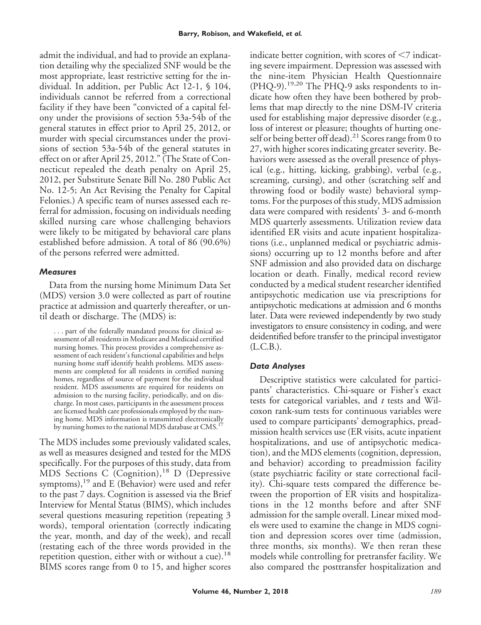admit the individual, and had to provide an explanation detailing why the specialized SNF would be the most appropriate, least restrictive setting for the individual. In addition, per Public Act 12-1, § 104, individuals cannot be referred from a correctional facility if they have been "convicted of a capital felony under the provisions of section 53a-54b of the general statutes in effect prior to April 25, 2012, or murder with special circumstances under the provisions of section 53a-54b of the general statutes in effect on or after April 25, 2012." (The State of Connecticut repealed the death penalty on April 25, 2012, per Substitute Senate Bill No. 280 Public Act No. 12-5; An Act Revising the Penalty for Capital Felonies.) A specific team of nurses assessed each referral for admission, focusing on individuals needing skilled nursing care whose challenging behaviors were likely to be mitigated by behavioral care plans established before admission. A total of 86 (90.6%) of the persons referred were admitted.

## *Measures*

Data from the nursing home Minimum Data Set (MDS) version 3.0 were collected as part of routine practice at admission and quarterly thereafter, or until death or discharge. The (MDS) is:

. . . part of the federally mandated process for clinical assessment of all residents in Medicare and Medicaid certified nursing homes. This process provides a comprehensive assessment of each resident's functional capabilities and helps nursing home staff identify health problems. MDS assessments are completed for all residents in certified nursing homes, regardless of source of payment for the individual resident. MDS assessments are required for residents on admission to the nursing facility, periodically, and on discharge. In most cases, participants in the assessment process are licensed health care professionals employed by the nursing home. MDS information is transmitted electronically by nursing homes to the national MDS database at CMS.<sup>17</sup>

The MDS includes some previously validated scales, as well as measures designed and tested for the MDS specifically. For the purposes of this study, data from MDS Sections C (Cognition),<sup>18</sup> D (Depressive symptoms), $^{19}$  and E (Behavior) were used and refer to the past 7 days. Cognition is assessed via the Brief Interview for Mental Status (BIMS), which includes several questions measuring repetition (repeating 3 words), temporal orientation (correctly indicating the year, month, and day of the week), and recall (restating each of the three words provided in the repetition question, either with or without a cue).<sup>18</sup> BIMS scores range from 0 to 15, and higher scores

indicate better cognition, with scores of  $\leq 7$  indicating severe impairment. Depression was assessed with the nine-item Physician Health Questionnaire (PHQ-9).19,20 The PHQ-9 asks respondents to indicate how often they have been bothered by problems that map directly to the nine DSM-IV criteria used for establishing major depressive disorder (e.g., loss of interest or pleasure; thoughts of hurting oneself or being better off dead).<sup>21</sup> Scores range from 0 to 27, with higher scores indicating greater severity. Behaviors were assessed as the overall presence of physical (e.g., hitting, kicking, grabbing), verbal (e.g., screaming, cursing), and other (scratching self and throwing food or bodily waste) behavioral symptoms. For the purposes of this study, MDS admission data were compared with residents' 3- and 6-month MDS quarterly assessments. Utilization review data identified ER visits and acute inpatient hospitalizations (i.e., unplanned medical or psychiatric admissions) occurring up to 12 months before and after SNF admission and also provided data on discharge location or death. Finally, medical record review conducted by a medical student researcher identified antipsychotic medication use via prescriptions for antipsychotic medications at admission and 6 months later. Data were reviewed independently by two study investigators to ensure consistency in coding, and were deidentified before transfer to the principal investigator (L.C.B.).

## *Data Analyses*

Descriptive statistics were calculated for participants' characteristics. Chi-square or Fisher's exact tests for categorical variables, and *t* tests and Wilcoxon rank-sum tests for continuous variables were used to compare participants' demographics, preadmission health services use (ER visits, acute inpatient hospitalizations, and use of antipsychotic medication), and the MDS elements (cognition, depression, and behavior) according to preadmission facility (state psychiatric facility or state correctional facility). Chi-square tests compared the difference between the proportion of ER visits and hospitalizations in the 12 months before and after SNF admission for the sample overall. Linear mixed models were used to examine the change in MDS cognition and depression scores over time (admission, three months, six months). We then reran these models while controlling for pretransfer facility. We also compared the posttransfer hospitalization and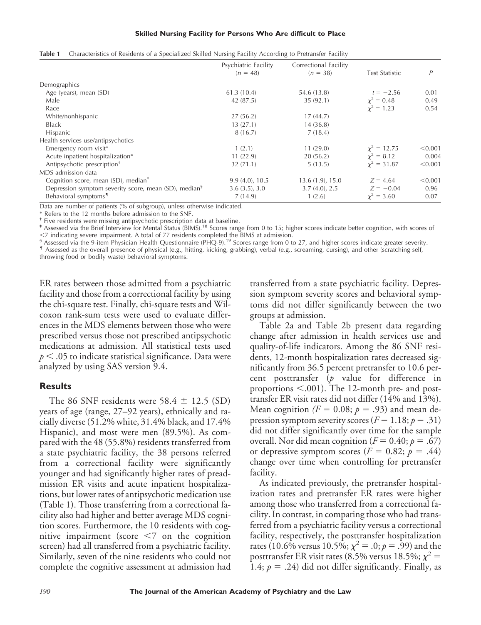#### **Skilled Nursing Facility for Persons Who Are difficult to Place**

|                                                                   | Psychiatric Facility | Correctional Facility |                       |         |
|-------------------------------------------------------------------|----------------------|-----------------------|-----------------------|---------|
|                                                                   | $(n = 48)$           | $(n = 38)$            | <b>Test Statistic</b> | P       |
| Demographics                                                      |                      |                       |                       |         |
| Age (years), mean (SD)                                            | 61.3(10.4)           | 54.6 (13.8)           | $t = -2.56$           | 0.01    |
| Male                                                              | 42 (87.5)            | 35(92.1)              | $\chi^2 = 0.48$       | 0.49    |
| Race                                                              |                      |                       | $x^2 = 1.23$          | 0.54    |
| White/nonhispanic                                                 | 27(56.2)             | 17(44.7)              |                       |         |
| <b>Black</b>                                                      | 13(27.1)             | 14(36.8)              |                       |         |
| Hispanic                                                          | 8(16.7)              | 7(18.4)               |                       |         |
| Health services use/antipsychotics                                |                      |                       |                       |         |
| Emergency room visit*                                             | 1(2.1)               | 11(29.0)              | $x^2 = 12.75$         | < 0.001 |
| Acute inpatient hospitalization*                                  | 11(22.9)             | 20(56.2)              | $x^2 = 8.12$          | 0.004   |
| Antipsychotic prescription <sup>+</sup>                           | 32(71.1)             | 5(13.5)               | $x^2 = 31.87$         | < 0.001 |
| MDS admission data                                                |                      |                       |                       |         |
| Cognition score, mean $(SD)$ , median <sup><math>#</math></sup>   | $9.9(4.0)$ , 10.5    | $13.6(1.9)$ , $15.0$  | $Z = 4.64$            | < 0.001 |
| Depression symptom severity score, mean (SD), median <sup>§</sup> | 3.6(3.5), 3.0        | 3.7(4.0), 2.5         | $Z = -0.04$           | 0.96    |
| Behavioral symptoms <sup>1</sup>                                  | 7(14.9)              | 1(2.6)                | $\chi^2 = 3.60$       | 0.07    |

Data are number of patients (% of subgroup), unless otherwise indicated.

\* Refers to the 12 months before admission to the SNF.

† Five residents were missing antipsychotic prescription data at baseline.

‡ Assessed via the Brief Interview for Mental Status (BIMS).18 Scores range from 0 to 15; higher scores indicate better cognition, with scores of

~7 indicating severe impairment. A total of 77 residents completed the BIMS at admission.<br><sup>§</sup> Assessed via the 9-item Physician Health Questionnaire (PHQ-9).<sup>19</sup> Scores range from 0 to 27, and higher scores indicate greate

throwing food or bodily waste) behavioral symptoms.

ER rates between those admitted from a psychiatric facility and those from a correctional facility by using the chi-square test. Finally, chi-square tests and Wilcoxon rank-sum tests were used to evaluate differences in the MDS elements between those who were prescribed versus those not prescribed antipsychotic medications at admission. All statistical tests used  $p < .05$  to indicate statistical significance. Data were analyzed by using SAS version 9.4.

# **Results**

The 86 SNF residents were  $58.4 \pm 12.5$  (SD) years of age (range, 27–92 years), ethnically and racially diverse (51.2% white, 31.4% black, and 17.4% Hispanic), and most were men (89.5%). As compared with the 48 (55.8%) residents transferred from a state psychiatric facility, the 38 persons referred from a correctional facility were significantly younger and had significantly higher rates of preadmission ER visits and acute inpatient hospitalizations, but lower rates of antipsychotic medication use (Table 1). Those transferring from a correctional facility also had higher and better average MDS cognition scores. Furthermore, the 10 residents with cognitive impairment (score  $\leq 7$  on the cognition screen) had all transferred from a psychiatric facility. Similarly, seven of the nine residents who could not complete the cognitive assessment at admission had

transferred from a state psychiatric facility. Depression symptom severity scores and behavioral symptoms did not differ significantly between the two groups at admission.

Table 2a and Table 2b present data regarding change after admission in health services use and quality-of-life indicators. Among the 86 SNF residents, 12-month hospitalization rates decreased significantly from 36.5 percent pretransfer to 10.6 percent posttransfer (*p* value for difference in proportions  $\leq 0.001$ ). The 12-month pre- and posttransfer ER visit rates did not differ (14% and 13%). Mean cognition  $(F = 0.08; p = .93)$  and mean depression symptom severity scores ( $F = 1.18; p = .31$ ) did not differ significantly over time for the sample overall. Nor did mean cognition ( $F = 0.40; p = .67$ ) or depressive symptom scores  $(F = 0.82; p = .44)$ change over time when controlling for pretransfer facility.

As indicated previously, the pretransfer hospitalization rates and pretransfer ER rates were higher among those who transferred from a correctional facility. In contrast, in comparing those who had transferred from a psychiatric facility versus a correctional facility, respectively, the posttransfer hospitalization rates (10.6% versus 10.5%;  $\chi^2 = .0; p = .99$ ) and the posttransfer ER visit rates (8.5% versus 18.5%;  $\chi^2 =$ 1.4;  $p = .24$ ) did not differ significantly. Finally, as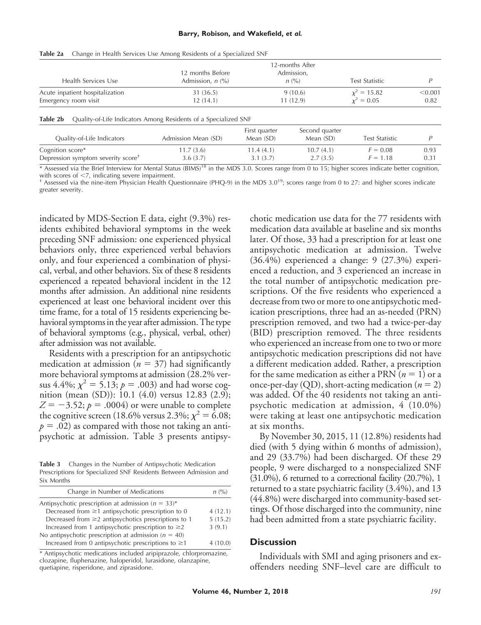| TUNIC 40<br>Change in Ficanti Scribbes Osc Among Residents of a specialized star |                                                                 |                                        |                             |                                        |              |  |  |  |  |
|----------------------------------------------------------------------------------|-----------------------------------------------------------------|----------------------------------------|-----------------------------|----------------------------------------|--------------|--|--|--|--|
| Health Services Use                                                              | 12 months Before<br>Admission, $n$ $\frac{\%}{\%}$              | 12-months After<br>Admission,<br>n (%) |                             | <b>Test Statistic</b><br>$x^2 = 15.82$ | P<br>< 0.001 |  |  |  |  |
| Acute inpatient hospitalization                                                  | 31 (36.5)                                                       |                                        | 9(10.6)                     |                                        |              |  |  |  |  |
| Emergency room visit                                                             | 12(14.1)                                                        | 11(12.9)                               |                             | $x^2 = 0.05$                           | 0.82         |  |  |  |  |
| Table 2b                                                                         | Quality-of-Life Indicators Among Residents of a Specialized SNF |                                        |                             |                                        |              |  |  |  |  |
| Quality-of-Life Indicators                                                       | Admission Mean (SD)                                             | First quarter<br>Mean (SD)             | Second quarter<br>Mean (SD) | Test Statistic                         | P            |  |  |  |  |
| Cognition score*                                                                 | 11.7(3.6)                                                       | 11.4(4.1)                              | 10.7(4.1)                   | $F = 0.08$                             | 0.93         |  |  |  |  |
| Depression symptom severity score <sup>+</sup>                                   | 3.6(3.7)                                                        | 3.1(3.7)                               | 2.7(3.5)                    | $F = 1.18$                             | 0.31         |  |  |  |  |

**Table 2a** Change in Health Services Use Among Residents of a Specialized SNF

\* Assessed via the Brief Interview for Mental Status (BIMS)<sup>18</sup> in the MDS 3.0. Scores range from 0 to 15; higher scores indicate better cognition, with scores of  $\langle 7 \rangle$ , indicating severe impairment.

Assessed via the nine-item Physician Health Questionnaire (PHQ-9) in the MDS  $3.0^{19}$ ; scores range from 0 to 27: and higher scores indicate greater severity.

indicated by MDS-Section E data, eight (9.3%) residents exhibited behavioral symptoms in the week preceding SNF admission: one experienced physical behaviors only, three experienced verbal behaviors only, and four experienced a combination of physical, verbal, and other behaviors. Six of these 8 residents experienced a repeated behavioral incident in the 12 months after admission. An additional nine residents experienced at least one behavioral incident over this time frame, for a total of 15 residents experiencing behavioral symptoms in the year after admission. The type of behavioral symptoms (e.g., physical, verbal, other) after admission was not available.

Residents with a prescription for an antipsychotic medication at admission ( $n = 37$ ) had significantly more behavioral symptoms at admission (28.2% versus 4.4%;  $\chi^2 = 5.13; p = .003$ ) and had worse cognition (mean (SD)): 10.1 (4.0) versus 12.83 (2.9);  $Z = -3.52$ ;  $p = .0004$ ) or were unable to complete the cognitive screen (18.6% versus 2.3%;  $\chi^2 = 6.08;$  $p = .02$ ) as compared with those not taking an antipsychotic at admission. Table 3 presents antipsy-

**Table 3** Changes in the Number of Antipsychotic Medication Prescriptions for Specialized SNF Residents Between Admission and Six Months

| Change in Number of Medications                          | n (%)   |  |
|----------------------------------------------------------|---------|--|
| Antipsychotic prescription at admission $(n = 33)^*$     |         |  |
| Decreased from $\geq$ 1 antipsychotic prescription to 0  | 4(12.1) |  |
| Decreased from $\geq$ antipsychotics prescriptions to 1  | 5(15.2) |  |
| Increased from 1 antipsychotic prescription to $\geq$ 2  | 3(9.1)  |  |
| No antipsychotic prescription at admission ( $n = 40$ )  |         |  |
| Increased from 0 antipsychotic prescriptions to $\geq$ 1 | 4(10.0) |  |

\* Antipsychotic medications included aripiprazole, chlorpromazine, clozapine, fluphenazine, haloperidol, lurasidone, olanzapine, quetiapine, risperidone, and ziprasidone.

chotic medication use data for the 77 residents with medication data available at baseline and six months later. Of those, 33 had a prescription for at least one antipsychotic medication at admission. Twelve (36.4%) experienced a change: 9 (27.3%) experienced a reduction, and 3 experienced an increase in the total number of antipsychotic medication prescriptions. Of the five residents who experienced a decrease from two or more to one antipsychotic medication prescriptions, three had an as-needed (PRN) prescription removed, and two had a twice-per-day (BID) prescription removed. The three residents who experienced an increase from one to two or more antipsychotic medication prescriptions did not have a different medication added. Rather, a prescription for the same medication as either a PRN  $(n = 1)$  or a once-per-day (QD), short-acting medication  $(n = 2)$ was added. Of the 40 residents not taking an antipsychotic medication at admission, 4 (10.0%) were taking at least one antipsychotic medication at six months.

By November 30, 2015, 11 (12.8%) residents had died (with 5 dying within 6 months of admission), and 29 (33.7%) had been discharged. Of these 29 people, 9 were discharged to a nonspecialized SNF (31.0%), 6 returned to a correctional facility (20.7%), 1 returned to a state psychiatric facility (3.4%), and 13 (44.8%) were discharged into community-based settings. Of those discharged into the community, nine had been admitted from a state psychiatric facility.

### **Discussion**

Individuals with SMI and aging prisoners and exoffenders needing SNF–level care are difficult to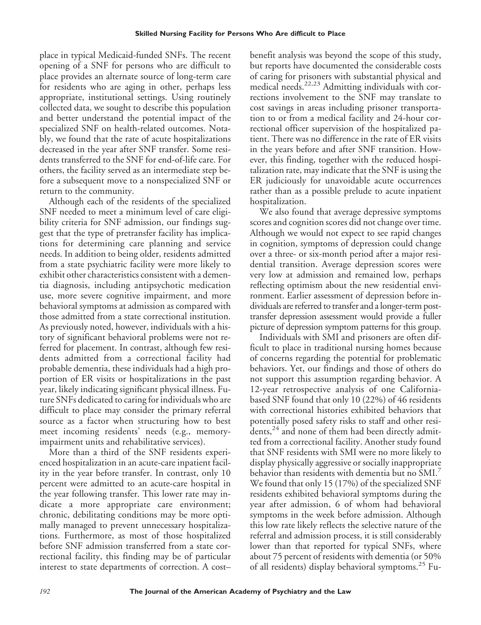place in typical Medicaid-funded SNFs. The recent opening of a SNF for persons who are difficult to place provides an alternate source of long-term care for residents who are aging in other, perhaps less appropriate, institutional settings. Using routinely collected data, we sought to describe this population and better understand the potential impact of the specialized SNF on health-related outcomes. Notably, we found that the rate of acute hospitalizations decreased in the year after SNF transfer. Some residents transferred to the SNF for end-of-life care. For others, the facility served as an intermediate step before a subsequent move to a nonspecialized SNF or return to the community.

Although each of the residents of the specialized SNF needed to meet a minimum level of care eligibility criteria for SNF admission, our findings suggest that the type of pretransfer facility has implications for determining care planning and service needs. In addition to being older, residents admitted from a state psychiatric facility were more likely to exhibit other characteristics consistent with a dementia diagnosis, including antipsychotic medication use, more severe cognitive impairment, and more behavioral symptoms at admission as compared with those admitted from a state correctional institution. As previously noted, however, individuals with a history of significant behavioral problems were not referred for placement. In contrast, although few residents admitted from a correctional facility had probable dementia, these individuals had a high proportion of ER visits or hospitalizations in the past year, likely indicating significant physical illness. Future SNFs dedicated to caring for individuals who are difficult to place may consider the primary referral source as a factor when structuring how to best meet incoming residents' needs (e.g., memoryimpairment units and rehabilitative services).

More than a third of the SNF residents experienced hospitalization in an acute-care inpatient facility in the year before transfer. In contrast, only 10 percent were admitted to an acute-care hospital in the year following transfer. This lower rate may indicate a more appropriate care environment; chronic, debilitating conditions may be more optimally managed to prevent unnecessary hospitalizations. Furthermore, as most of those hospitalized before SNF admission transferred from a state correctional facility, this finding may be of particular interest to state departments of correction. A cost–

benefit analysis was beyond the scope of this study, but reports have documented the considerable costs of caring for prisoners with substantial physical and medical needs.22,23 Admitting individuals with corrections involvement to the SNF may translate to cost savings in areas including prisoner transportation to or from a medical facility and 24-hour correctional officer supervision of the hospitalized patient. There was no difference in the rate of ER visits in the years before and after SNF transition. However, this finding, together with the reduced hospitalization rate, may indicate that the SNF is using the ER judiciously for unavoidable acute occurrences rather than as a possible prelude to acute inpatient hospitalization.

We also found that average depressive symptoms scores and cognition scores did not change over time. Although we would not expect to see rapid changes in cognition, symptoms of depression could change over a three- or six-month period after a major residential transition. Average depression scores were very low at admission and remained low, perhaps reflecting optimism about the new residential environment. Earlier assessment of depression before individuals are referred to transfer and a longer-term posttransfer depression assessment would provide a fuller picture of depression symptom patterns for this group.

Individuals with SMI and prisoners are often difficult to place in traditional nursing homes because of concerns regarding the potential for problematic behaviors. Yet, our findings and those of others do not support this assumption regarding behavior. A 12-year retrospective analysis of one Californiabased SNF found that only 10 (22%) of 46 residents with correctional histories exhibited behaviors that potentially posed safety risks to staff and other residents, $^{24}$  and none of them had been directly admitted from a correctional facility. Another study found that SNF residents with SMI were no more likely to display physically aggressive or socially inappropriate behavior than residents with dementia but no SMI.<sup>7</sup> We found that only 15 (17%) of the specialized SNF residents exhibited behavioral symptoms during the year after admission, 6 of whom had behavioral symptoms in the week before admission. Although this low rate likely reflects the selective nature of the referral and admission process, it is still considerably lower than that reported for typical SNFs, where about 75 percent of residents with dementia (or 50% of all residents) display behavioral symptoms.<sup>25</sup> Fu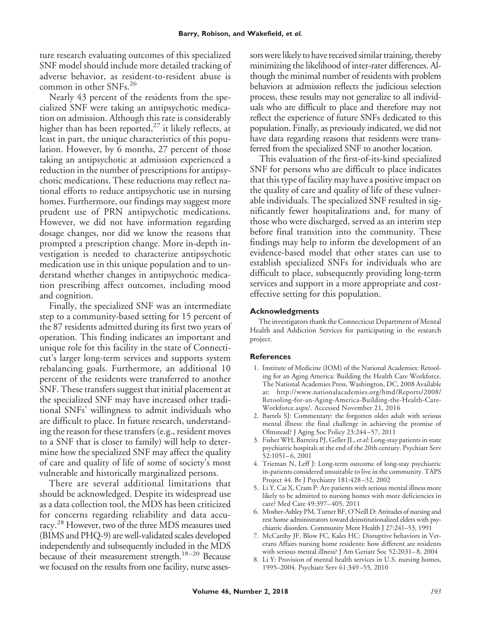ture research evaluating outcomes of this specialized SNF model should include more detailed tracking of adverse behavior, as resident-to-resident abuse is common in other SNFs.<sup>26</sup>

Nearly 43 percent of the residents from the specialized SNF were taking an antipsychotic medication on admission. Although this rate is considerably higher than has been reported,<sup>27</sup> it likely reflects, at least in part, the unique characteristics of this population. However, by 6 months, 27 percent of those taking an antipsychotic at admission experienced a reduction in the number of prescriptions for antipsychotic medications. These reductions may reflect national efforts to reduce antipsychotic use in nursing homes. Furthermore, our findings may suggest more prudent use of PRN antipsychotic medications. However, we did not have information regarding dosage changes, nor did we know the reasons that prompted a prescription change. More in-depth investigation is needed to characterize antipsychotic medication use in this unique population and to understand whether changes in antipsychotic medication prescribing affect outcomes, including mood and cognition.

Finally, the specialized SNF was an intermediate step to a community-based setting for 15 percent of the 87 residents admitted during its first two years of operation. This finding indicates an important and unique role for this facility in the state of Connecticut's larger long-term services and supports system rebalancing goals. Furthermore, an additional 10 percent of the residents were transferred to another SNF. These transfers suggest that initial placement at the specialized SNF may have increased other traditional SNFs' willingness to admit individuals who are difficult to place. In future research, understanding the reason for these transfers (e.g., resident moves to a SNF that is closer to family) will help to determine how the specialized SNF may affect the quality of care and quality of life of some of society's most vulnerable and historically marginalized persons.

There are several additional limitations that should be acknowledged. Despite its widespread use as a data collection tool, the MDS has been criticized for concerns regarding reliability and data accuracy.<sup>28</sup> However, two of the three MDS measures used (BIMS and PHQ-9) are well-validated scales developed independently and subsequently included in the MDS because of their measurement strength.<sup>18-20</sup> Because we focused on the results from one facility, nurse assessors were likely to have received similar training, thereby minimizing the likelihood of inter-rater differences. Although the minimal number of residents with problem behaviors at admission reflects the judicious selection process, these results may not generalize to all individuals who are difficult to place and therefore may not reflect the experience of future SNFs dedicated to this population. Finally, as previously indicated, we did not have data regarding reasons that residents were transferred from the specialized SNF to another location.

This evaluation of the first-of-its-kind specialized SNF for persons who are difficult to place indicates that this type of facility may have a positive impact on the quality of care and quality of life of these vulnerable individuals. The specialized SNF resulted in significantly fewer hospitalizations and, for many of those who were discharged, served as an interim step before final transition into the community. These findings may help to inform the development of an evidence-based model that other states can use to establish specialized SNFs for individuals who are difficult to place, subsequently providing long-term services and support in a more appropriate and costeffective setting for this population.

#### **Acknowledgments**

The investigators thank the Connecticut Department of Mental Health and Addiction Services for participating in the research project.

#### **References**

- 1. Institute of Medicine (IOM) of the National Academies: Retooling for an Aging America: Building the Health Care Workforce. The National Academies Press, Washington, DC, 2008 Available at: [http://www.nationalacademies.org/hmd/Reports/2008/](http://www.nationalacademies.org/hmd/Reports/2008/Retooling-for-an-Aging-America-Building-the-Health-Care-Workforce.aspx/) [Retooling-for-an-Aging-America-Building-the-Health-Care-](http://www.nationalacademies.org/hmd/Reports/2008/Retooling-for-an-Aging-America-Building-the-Health-Care-Workforce.aspx/)[Workforce.aspx/.](http://www.nationalacademies.org/hmd/Reports/2008/Retooling-for-an-Aging-America-Building-the-Health-Care-Workforce.aspx/) Accessed November 21, 2016
- 2. Bartels SJ: Commentary: the forgotten older adult with serious mental illness: the final challenge in achieving the promise of Olmstead? J Aging Soc Policy 23:244 –57, 2011
- 3. Fisher WH, Barreira PJ, Geller JL, *et al*: Long-stay patients in state psychiatric hospitals at the end of the 20th century. Psychiatr Serv 52:1051– 6, 2001
- 4. Trieman N, Leff J: Long-term outcome of long-stay psychiatric in-patients considered unsuitable to live in the community. TAPS Project 44. Br J Psychiatry 181:428 –32, 2002
- 5. Li Y, Cai X, Cram P: Are patients with serious mental illness more likely to be admitted to nursing homes with more deficiencies in care? Med Care 49:397– 405, 2011
- 6. Mosher-Ashley PM, Turner BF, O'Neill D: Attitudes of nursing and rest home administrators toward deinstitutionalized elders with psychiatric disorders. Community Ment Health J 27:241–53, 1991
- 7. McCarthy JF, Blow FC, Kales HC: Disruptive behaviors in Veterans Affairs nursing home residents: how different are residents with serious mental illness? J Am Geriatr Soc 52:2031– 8, 2004
- 8. Li Y: Provision of mental health services in U.S. nursing homes, 1995–2004. Psychiatr Serv 61:349 –55, 2010